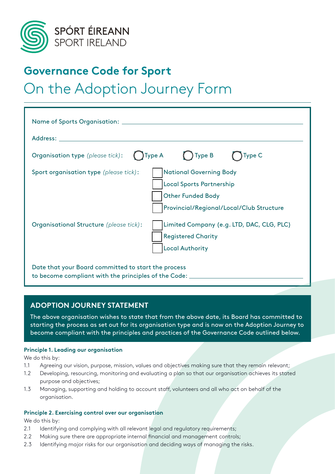

## **Governance Code for Sport**

# On the Adoption Journey Form

| <b>Organisation type</b> (please tick):                                                                           | $\bigcirc$ Type A<br>$\bigcup$ Type B<br>Type C                                                                                           |
|-------------------------------------------------------------------------------------------------------------------|-------------------------------------------------------------------------------------------------------------------------------------------|
| Sport organisation type (please tick):                                                                            | <b>National Governing Body</b><br><b>Local Sports Partnership</b><br><b>Other Funded Body</b><br>Provincial/Regional/Local/Club Structure |
| Organisational Structure (please tick):                                                                           | Limited Company (e.g. LTD, DAC, CLG, PLC)<br><b>Registered Charity</b><br><b>Local Authority</b>                                          |
| Date that your Board committed to start the process<br>to become compliant with the principles of the Code: _____ |                                                                                                                                           |

### **ADOPTION JOURNEY STATEMENT**

The above organisation wishes to state that from the above date, its Board has committed to starting the process as set out for its organisation type and is now on the Adoption Journey to become compliant with the principles and practices of the Governance Code outlined below.

#### **Principle 1. Leading our organisation**

We do this by:

- 1.1 Agreeing our vision, purpose, mission, values and objectives making sure that they remain relevant;
- 1.2 Developing, resourcing, monitoring and evaluating a plan so that our organisation achieves its stated purpose and objectives;
- 1.3 Managing, supporting and holding to account staff, volunteers and all who act on behalf of the organisation.

#### **Principle 2. Exercising control over our organisation**

We do this by:

- 2.1 Identifying and complying with all relevant legal and regulatory requirements;
- 2.2 Making sure there are appropriate internal financial and management controls;
- 2.3 Identifying major risks for our organisation and deciding ways of managing the risks.